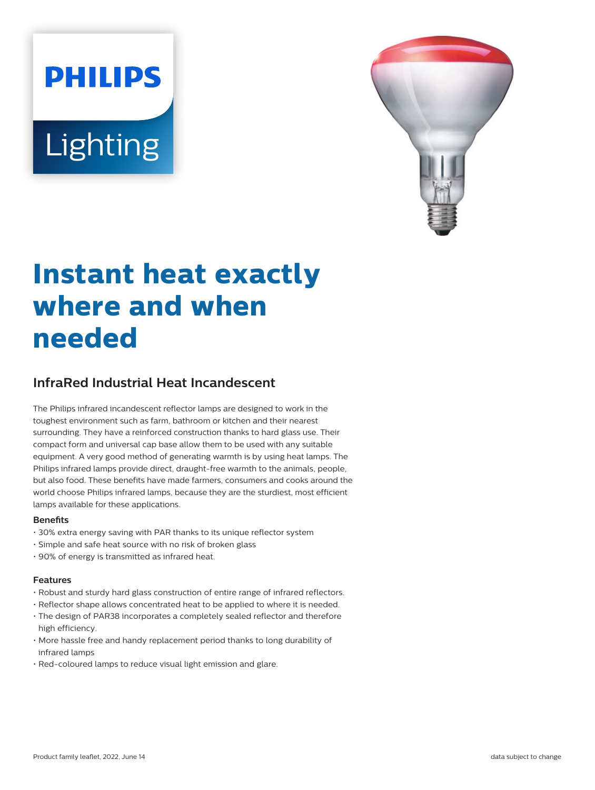# **PHILIPS Lighting**



# **Instant heat exactly where and when needed**

# **InfraRed Industrial Heat Incandescent**

The Philips infrared incandescent reflector lamps are designed to work in the toughest environment such as farm, bathroom or kitchen and their nearest surrounding. They have a reinforced construction thanks to hard glass use. Their compact form and universal cap base allow them to be used with any suitable equipment. A very good method of generating warmth is by using heat lamps. The Philips infrared lamps provide direct, draught-free warmth to the animals, people, but also food. These benefits have made farmers, consumers and cooks around the world choose Philips infrared lamps, because they are the sturdiest, most efficient lamps available for these applications.

#### **Benets**

- 30% extra energy saving with PAR thanks to its unique reflector system
- Simple and safe heat source with no risk of broken glass
- 90% of energy is transmitted as infrared heat.

#### **Features**

- Robust and sturdy hard glass construction of entire range of infrared reflectors.
- Reflector shape allows concentrated heat to be applied to where it is needed.
- The design of PAR38 incorporates a completely sealed reflector and therefore high efficiency.
- More hassle free and handy replacement period thanks to long durability of infrared lamps
- Red-coloured lamps to reduce visual light emission and glare.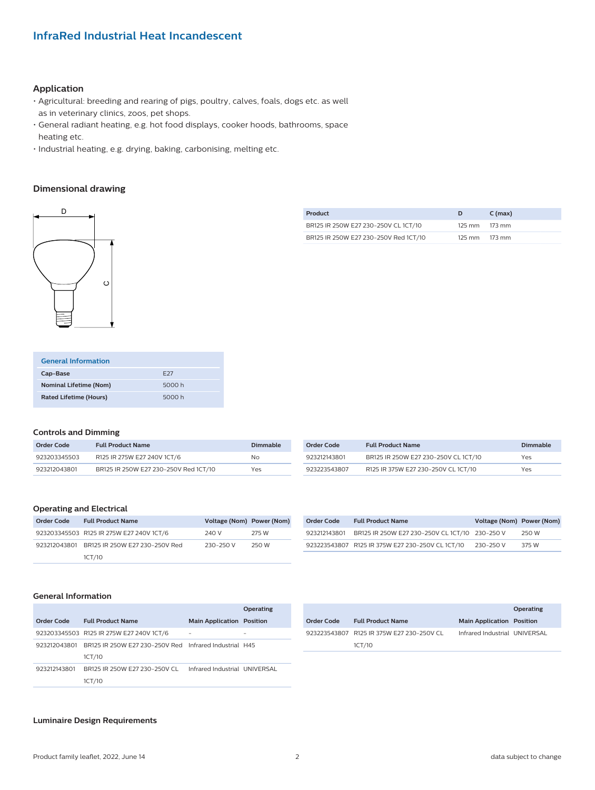## **InfraRed Industrial Heat Incandescent**

#### **Application**

- Agricultural: breeding and rearing of pigs, poultry, calves, foals, dogs etc. as well as in veterinary clinics, zoos, pet shops.
- General radiant heating, e.g. hot food displays, cooker hoods, bathrooms, space heating etc.
- Industrial heating, e.g. drying, baking, carbonising, melting etc.

#### **Dimensional drawing**



| Product |  |                                       |        | $C \text{ (max)}$ |
|---------|--|---------------------------------------|--------|-------------------|
|         |  | BR125 IR 250W E27 230-250V CL 1CT/10  |        | 125 mm 173 mm     |
|         |  | BR125 IR 250W E27 230-250V Red 1CT/10 | 125 mm | 173 mm            |

| <b>General Information</b>    |                 |
|-------------------------------|-----------------|
| Cap-Base                      | F <sub>27</sub> |
| <b>Nominal Lifetime (Nom)</b> | 5000 h          |
| <b>Rated Lifetime (Hours)</b> | 5000 h          |

#### **Controls and Dimming**

| Order Code   | <b>Full Product Name</b>              | Dimmable |
|--------------|---------------------------------------|----------|
| 923203345503 | R125 IR 275W E27 240V 1CT/6           | No.      |
| 923212043801 | BR125 IR 250W E27 230-250V Red 1CT/10 | Yes      |

| Order Code   | <b>Full Product Name</b>             | Dimmable |
|--------------|--------------------------------------|----------|
| 923212143801 | BR125 IR 250W E27 230-250V CL 1CT/10 | Yes      |
| 923223543807 | R125 IR 375W E27 230-250V CL 1CT/10  | Yes      |

#### **Operating and Electrical**

| Order Code | <b>Full Product Name</b>                    | Voltage (Nom) Power (Nom) |       |
|------------|---------------------------------------------|---------------------------|-------|
|            | 923203345503 R125 IR 275W E27 240V 1CT/6    | 240 V                     | 275 W |
|            | 923212043801 BR125 IR 250W E27 230-250V Red | 230-250 V                 | 250 W |
|            | 1CT/10                                      |                           |       |

| Order Code   | <b>Full Product Name</b>                         | Voltage (Nom) Power (Nom) |       |
|--------------|--------------------------------------------------|---------------------------|-------|
| 923212143801 | BR125 IR 250W E27 230-250V CL 1CT/10 230-250 V   |                           | 250 W |
|              | 923223543807 R125 IR 375W E27 230-250V CL 1CT/10 | 230-250 V                 | 375 W |

#### **General Information**

|              |                                                        |                                  | Operating |
|--------------|--------------------------------------------------------|----------------------------------|-----------|
| Order Code   | <b>Full Product Name</b>                               | <b>Main Application Position</b> |           |
|              | 923203345503 R125 IR 275W E27 240V 1CT/6               |                                  |           |
| 923212043801 | BR125 IR 250W E27 230-250V Red Infrared Industrial H45 |                                  |           |
|              | 1CT/10                                                 |                                  |           |
| 923212143801 | BR125 IR 250W E27 230-250V CL                          | Infrared Industrial UNIVERSAL    |           |
|              | 1CT/10                                                 |                                  |           |

|            |                                           |                                  | Operating |
|------------|-------------------------------------------|----------------------------------|-----------|
| Order Code | <b>Full Product Name</b>                  | <b>Main Application Position</b> |           |
|            | 923223543807 R125 IR 375W E27 230-250V CL | Infrared Industrial UNIVERSAL    |           |
|            | 1CT/10                                    |                                  |           |

#### **Luminaire Design Requirements**